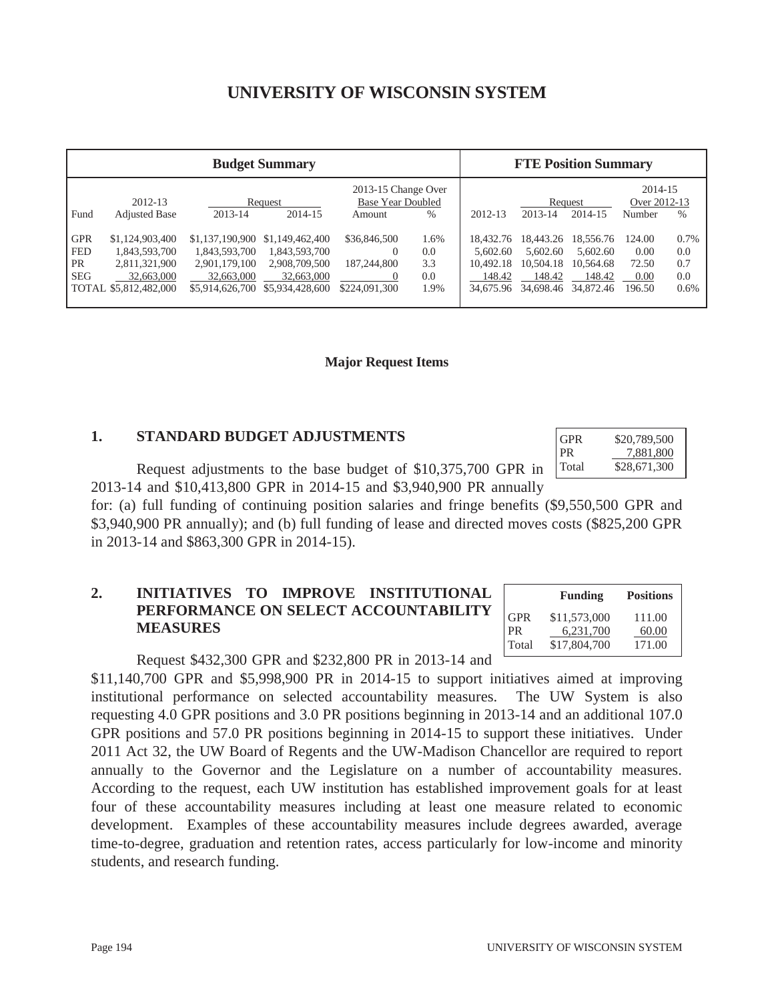# **UNIVERSITY OF WISCONSIN SYSTEM**

| <b>Budget Summary</b>    |                                                      |                                                |                                                |                                                           | <b>FTE Position Summary</b> |                                  |                                  |                                  |                                   |                    |
|--------------------------|------------------------------------------------------|------------------------------------------------|------------------------------------------------|-----------------------------------------------------------|-----------------------------|----------------------------------|----------------------------------|----------------------------------|-----------------------------------|--------------------|
| Fund                     | 2012-13<br><b>Adjusted Base</b>                      | 2013-14                                        | Request<br>2014-15                             | 2013-15 Change Over<br><b>Base Year Doubled</b><br>Amount | $\frac{0}{0}$               | $2012 - 13$                      | 2013-14                          | Request<br>2014-15               | 2014-15<br>Over 2012-13<br>Number | $\%$               |
| <b>GPR</b><br><b>FED</b> | \$1,124,903,400<br>1,843,593,700                     | \$1,137,190,900<br>1,843,593,700               | \$1,149,462,400<br>1,843,593,700               | \$36,846,500<br>$\theta$                                  | 1.6%<br>0.0                 | 18.432.76<br>5.602.60            | 18.443.26<br>5.602.60            | 18,556.76<br>5.602.60            | 124.00<br>0.00                    | 0.7%<br>0.0        |
| <b>PR</b><br><b>SEG</b>  | 2,811,321,900<br>32,663,000<br>TOTAL \$5,812,482,000 | 2,901,179,100<br>32,663,000<br>\$5,914,626,700 | 2,908,709,500<br>32,663,000<br>\$5,934,428,600 | 187,244,800<br>0<br>\$224,091,300                         | 3.3<br>0.0<br>1.9%          | 10.492.18<br>148.42<br>34,675.96 | 10.504.18<br>148.42<br>34,698.46 | 10,564.68<br>148.42<br>34,872.46 | 72.50<br>0.00<br>196.50           | 0.7<br>0.0<br>0.6% |

#### **Major Request Items**

#### **1. STANDARD BUDGET ADJUSTMENTS**

 Request adjustments to the base budget of \$10,375,700 GPR in 2013-14 and \$10,413,800 GPR in 2014-15 and \$3,940,900 PR annually

for: (a) full funding of continuing position salaries and fringe benefits (\$9,550,500 GPR and \$3,940,900 PR annually); and (b) full funding of lease and directed moves costs (\$825,200 GPR in 2013-14 and \$863,300 GPR in 2014-15).

# **2. INITIATIVES TO IMPROVE INSTITUTIONAL PERFORMANCE ON SELECT ACCOUNTABILITY MEASURES**

 **Funding Positions**  GPR \$11,573,000 111.00 PR 6,231,700 60.00 Total \$17,804,700 171.00

GPR \$20,789,500 PR 7,881,800 Total \$28,671,300

Request \$432,300 GPR and \$232,800 PR in 2013-14 and

\$11,140,700 GPR and \$5,998,900 PR in 2014-15 to support initiatives aimed at improving institutional performance on selected accountability measures. The UW System is also requesting 4.0 GPR positions and 3.0 PR positions beginning in 2013-14 and an additional 107.0 GPR positions and 57.0 PR positions beginning in 2014-15 to support these initiatives. Under 2011 Act 32, the UW Board of Regents and the UW-Madison Chancellor are required to report annually to the Governor and the Legislature on a number of accountability measures. According to the request, each UW institution has established improvement goals for at least four of these accountability measures including at least one measure related to economic development. Examples of these accountability measures include degrees awarded, average time-to-degree, graduation and retention rates, access particularly for low-income and minority students, and research funding.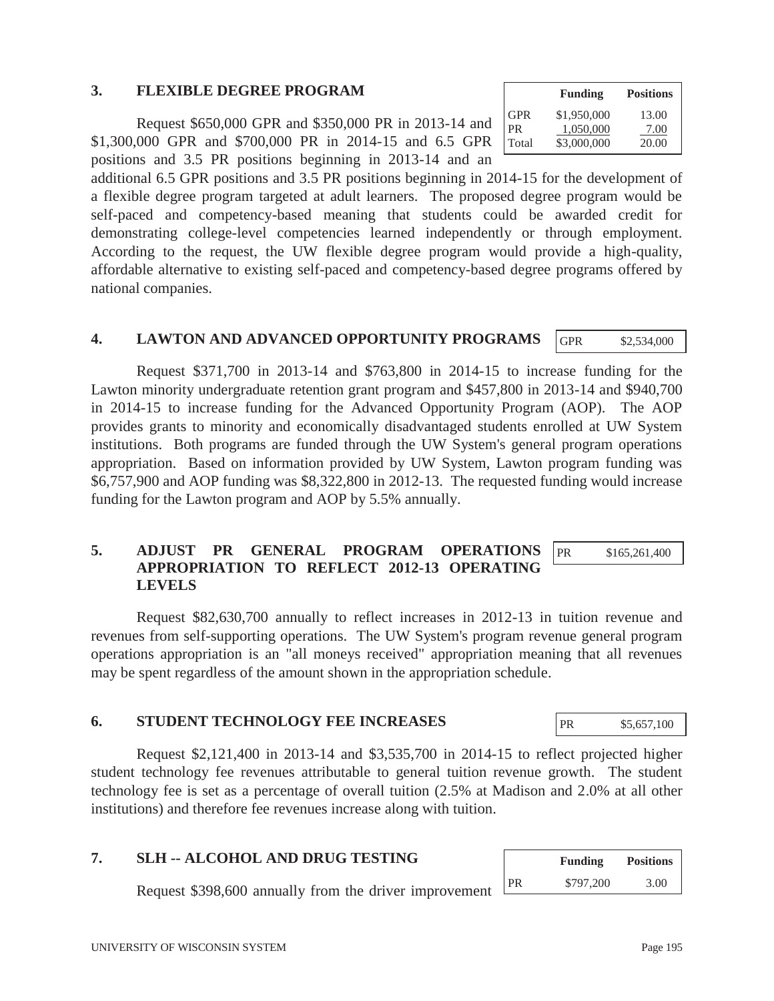## **3. FLEXIBLE DEGREE PROGRAM**

 Request \$650,000 GPR and \$350,000 PR in 2013-14 and \$1,300,000 GPR and \$700,000 PR in 2014-15 and 6.5 GPR positions and 3.5 PR positions beginning in 2013-14 and an

additional 6.5 GPR positions and 3.5 PR positions beginning in 2014-15 for the development of a flexible degree program targeted at adult learners. The proposed degree program would be self-paced and competency-based meaning that students could be awarded credit for demonstrating college-level competencies learned independently or through employment. According to the request, the UW flexible degree program would provide a high-quality, affordable alternative to existing self-paced and competency-based degree programs offered by national companies.

#### **4. LAWTON AND ADVANCED OPPORTUNITY PROGRAMS**

Request \$371,700 in 2013-14 and \$763,800 in 2014-15 to increase funding for the Lawton minority undergraduate retention grant program and \$457,800 in 2013-14 and \$940,700 in 2014-15 to increase funding for the Advanced Opportunity Program (AOP). The AOP provides grants to minority and economically disadvantaged students enrolled at UW System institutions. Both programs are funded through the UW System's general program operations appropriation. Based on information provided by UW System, Lawton program funding was \$6,757,900 and AOP funding was \$8,322,800 in 2012-13. The requested funding would increase funding for the Lawton program and AOP by 5.5% annually.

#### **5. ADJUST PR GENERAL PROGRAM OPERATIONS APPROPRIATION TO REFLECT 2012-13 OPERATING LEVELS**  PR \$165,261,400

Request \$82,630,700 annually to reflect increases in 2012-13 in tuition revenue and revenues from self-supporting operations. The UW System's program revenue general program operations appropriation is an "all moneys received" appropriation meaning that all revenues may be spent regardless of the amount shown in the appropriation schedule.

### **6. STUDENT TECHNOLOGY FEE INCREASES**

Request \$2,121,400 in 2013-14 and \$3,535,700 in 2014-15 to reflect projected higher student technology fee revenues attributable to general tuition revenue growth. The student technology fee is set as a percentage of overall tuition (2.5% at Madison and 2.0% at all other institutions) and therefore fee revenues increase along with tuition.

# **7. SLH -- ALCOHOL AND DRUG TESTING**

Request \$398,600 annually from the driver improvement

|       | <b>Funding</b> | <b>Positions</b> |
|-------|----------------|------------------|
| GPR   | \$1,950,000    | 13.00            |
| PR    | 1,050,000      | 7.00             |
| Total | \$3,000,000    | 20.00            |

GPR \$2,534,000

|           | <b>Funding</b> | <b>Positions</b> |  |  |
|-----------|----------------|------------------|--|--|
| <b>PR</b> | \$797,200      | 3.00             |  |  |

PR \$5,657,100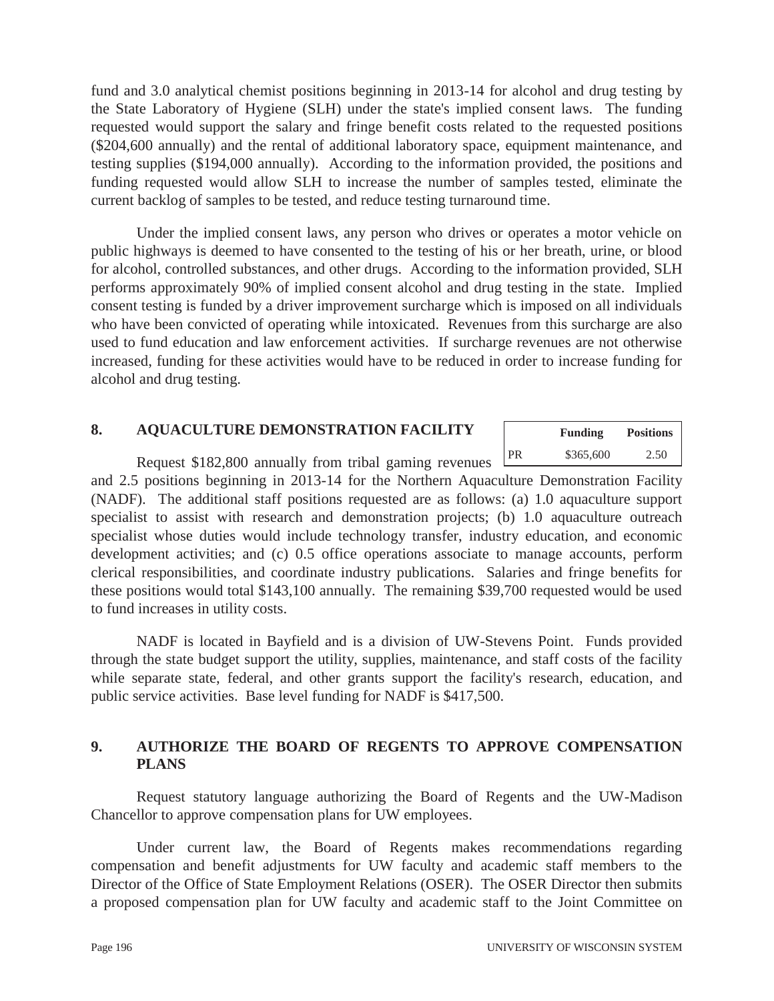fund and 3.0 analytical chemist positions beginning in 2013-14 for alcohol and drug testing by the State Laboratory of Hygiene (SLH) under the state's implied consent laws. The funding requested would support the salary and fringe benefit costs related to the requested positions (\$204,600 annually) and the rental of additional laboratory space, equipment maintenance, and testing supplies (\$194,000 annually). According to the information provided, the positions and funding requested would allow SLH to increase the number of samples tested, eliminate the current backlog of samples to be tested, and reduce testing turnaround time.

Under the implied consent laws, any person who drives or operates a motor vehicle on public highways is deemed to have consented to the testing of his or her breath, urine, or blood for alcohol, controlled substances, and other drugs. According to the information provided, SLH performs approximately 90% of implied consent alcohol and drug testing in the state. Implied consent testing is funded by a driver improvement surcharge which is imposed on all individuals who have been convicted of operating while intoxicated. Revenues from this surcharge are also used to fund education and law enforcement activities. If surcharge revenues are not otherwise increased, funding for these activities would have to be reduced in order to increase funding for alcohol and drug testing.

# **8. AQUACULTURE DEMONSTRATION FACILITY**

|    | <b>Funding</b> | <b>Positions</b> |  |  |
|----|----------------|------------------|--|--|
| PR | \$365,600      | 2.50             |  |  |

Request \$182,800 annually from tribal gaming revenues  $\perp$ 

and 2.5 positions beginning in 2013-14 for the Northern Aquaculture Demonstration Facility (NADF). The additional staff positions requested are as follows: (a) 1.0 aquaculture support specialist to assist with research and demonstration projects; (b) 1.0 aquaculture outreach specialist whose duties would include technology transfer, industry education, and economic development activities; and (c) 0.5 office operations associate to manage accounts, perform clerical responsibilities, and coordinate industry publications. Salaries and fringe benefits for these positions would total \$143,100 annually. The remaining \$39,700 requested would be used to fund increases in utility costs.

NADF is located in Bayfield and is a division of UW-Stevens Point. Funds provided through the state budget support the utility, supplies, maintenance, and staff costs of the facility while separate state, federal, and other grants support the facility's research, education, and public service activities. Base level funding for NADF is \$417,500.

# **9. AUTHORIZE THE BOARD OF REGENTS TO APPROVE COMPENSATION PLANS**

Request statutory language authorizing the Board of Regents and the UW-Madison Chancellor to approve compensation plans for UW employees.

Under current law, the Board of Regents makes recommendations regarding compensation and benefit adjustments for UW faculty and academic staff members to the Director of the Office of State Employment Relations (OSER). The OSER Director then submits a proposed compensation plan for UW faculty and academic staff to the Joint Committee on